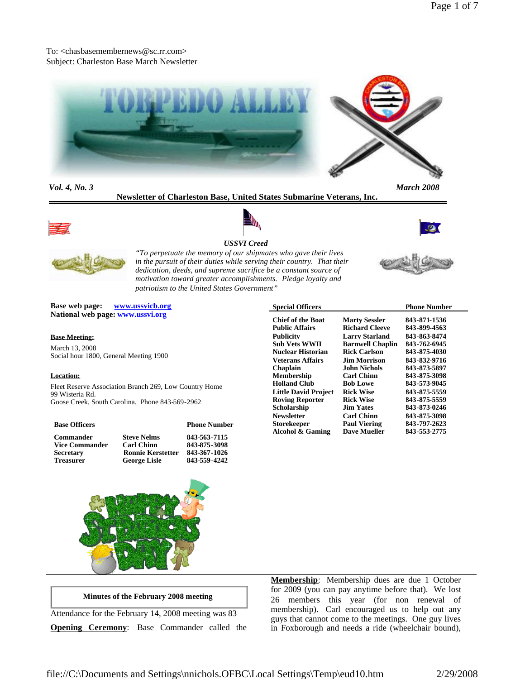# To: <chasbasemembernews@sc.rr.com> Subject: Charleston Base March Newsletter



*Vol. 4, No. 3 March 2008*

**Newsletter of Charleston Base, United States Submarine Veterans, Inc.**









# *USSVI Creed*

*"To perpetuate the memory of our shipmates who gave their lives in the pursuit of their duties while serving their country. That their dedication, deeds, and supreme sacrifice be a constant source of motivation toward greater accomplishments. Pledge loyalty and patriotism to the United States Government"*

**Base web page: www.ussvicb.org National web page: www.ussvi.org**

## **Base Meeting:**

March 13, 2008 Social hour 1800, General Meeting 1900

#### **Location:**

Fleet Reserve Association Branch 269, Low Country Home 99 Wisteria Rd. Goose Creek, South Carolina. Phone 843-569-2962

| <b>Base Officers</b>  |                          | <b>Phone Number</b> |
|-----------------------|--------------------------|---------------------|
| <b>Commander</b>      | <b>Steve Nelms</b>       | 843-563-7115        |
| <b>Vice Commander</b> | <b>Carl Chinn</b>        | 843-875-3098        |
| <b>Secretary</b>      | <b>Ronnie Kerstetter</b> | 843-367-1026        |
| <b>Treasurer</b>      | <b>George Lisle</b>      | 843-559-4242        |





**Minutes of the February 2008 meeting**

Attendance for the February 14, 2008 meeting was 83 **Opening Ceremony**: Base Commander called the **Membership**: Membership dues are due 1 October for 2009 (you can pay anytime before that). We lost 26 members this year (for non renewal of membership). Carl encouraged us to help out any guys that cannot come to the meetings. One guy lives in Foxborough and needs a ride (wheelchair bound),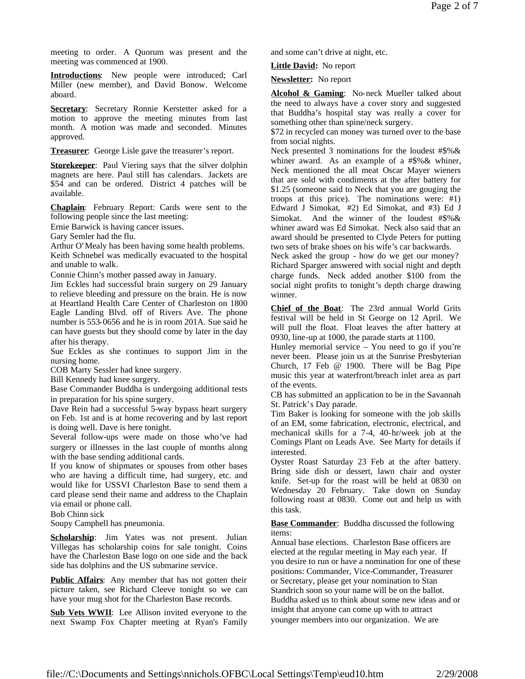meeting to order. A Quorum was present and the meeting was commenced at 1900.

**Introductions**: New people were introduced; Carl Miller (new member), and David Bonow. Welcome aboard.

**Secretary**: Secretary Ronnie Kerstetter asked for a motion to approve the meeting minutes from last month. A motion was made and seconded. Minutes approved.

**Treasurer**: George Lisle gave the treasurer's report.

**Storekeeper**: Paul Viering says that the silver dolphin magnets are here. Paul still has calendars. Jackets are \$54 and can be ordered. District 4 patches will be available.

**Chaplain**: February Report: Cards were sent to the following people since the last meeting:

Ernie Barwick is having cancer issues.

Gary Semler had the flu.

Arthur O'Mealy has been having some health problems. Keith Schnebel was medically evacuated to the hospital and unable to walk.

Connie Chinn's mother passed away in January.

Jim Eckles had successful brain surgery on 29 January to relieve bleeding and pressure on the brain. He is now at Heartland Health Care Center of Charleston on 1800 Eagle Landing Blvd. off of Rivers Ave. The phone number is 553-0656 and he is in room 201A. Sue said he can have guests but they should come by later in the day after his therapy.

Sue Eckles as she continues to support Jim in the nursing home.

COB Marty Sessler had knee surgery.

Bill Kennedy had knee surgery.

Base Commander Buddha is undergoing additional tests in preparation for his spine surgery.

Dave Rein had a successful 5-way bypass heart surgery on Feb. 1st and is at home recovering and by last report is doing well. Dave is here tonight.

Several follow-ups were made on those who've had surgery or illnesses in the last couple of months along with the base sending additional cards.

If you know of shipmates or spouses from other bases who are having a difficult time, had surgery, etc. and would like for USSVI Charleston Base to send them a card please send their name and address to the Chaplain via email or phone call.

Bob Chinn sick

Soupy Campbell has pneumonia.

Scholarship: Jim Yates was not present. Julian Villegas has scholarship coins for sale tonight. Coins have the Charleston Base logo on one side and the back side has dolphins and the US submarine service.

**Public Affairs**: Any member that has not gotten their picture taken, see Richard Cleeve tonight so we can have your mug shot for the Charleston Base records.

Sub Vets WWII: Lee Allison invited everyone to the next Swamp Fox Chapter meeting at Ryan's Family and some can't drive at night, etc.

**Little David:** No report

**Newsletter:** No report

**Alcohol & Gaming**: No-neck Mueller talked about the need to always have a cover story and suggested that Buddha's hospital stay was really a cover for something other than spine/neck surgery.

\$72 in recycled can money was turned over to the base from social nights.

Neck presented 3 nominations for the loudest #\$%& whiner award. As an example of a #\$%& whiner, Neck mentioned the all meat Oscar Mayer wieners that are sold with condiments at the after battery for \$1.25 (someone said to Neck that you are gouging the troops at this price). The nominations were: #1) Edward J Simokat, #2) Ed Simokat, and #3) Ed J Simokat. And the winner of the loudest #\$%& whiner award was Ed Simokat. Neck also said that an award should be presented to Clyde Peters for putting two sets of brake shoes on his wife's car backwards.

Neck asked the group - how do we get our money? Richard Sparger answered with social night and depth charge funds. Neck added another \$100 from the social night profits to tonight's depth charge drawing winner.

**Chief of the Boat**: The 23rd annual World Grits festival will be held in St George on 12 April. We will pull the float. Float leaves the after battery at 0930, line-up at 1000, the parade starts at 1100.

Hunley memorial service – You need to go if you're never been. Please join us at the Sunrise Presbyterian Church, 17 Feb @ 1900. There will be Bag Pipe music this year at waterfront/breach inlet area as part of the events.

CB has submitted an application to be in the Savannah St. Patrick's Day parade.

Tim Baker is looking for someone with the job skills of an EM, some fabrication, electronic, electrical, and mechanical skills for a 7-4, 40-hr/week job at the Comings Plant on Leads Ave. See Marty for details if interested.

Oyster Roast Saturday 23 Feb at the after battery. Bring side dish or dessert, lawn chair and oyster knife. Set-up for the roast will be held at 0830 on Wednesday 20 February. Take down on Sunday following roast at 0830. Come out and help us with this task.

## **Base Commander**: Buddha discussed the following items:

Annual base elections. Charleston Base officers are elected at the regular meeting in May each year. If you desire to run or have a nomination for one of these positions: Commander, Vice-Commander, Treasurer or Secretary, please get your nomination to Stan Standrich soon so your name will be on the ballot. Buddha asked us to think about some new ideas and or insight that anyone can come up with to attract younger members into our organization. We are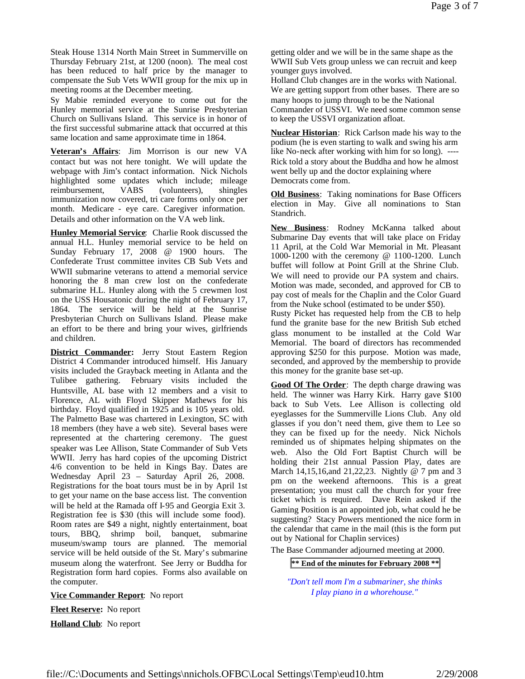Steak House 1314 North Main Street in Summerville on Thursday February 21st, at 1200 (noon). The meal cost has been reduced to half price by the manager to compensate the Sub Vets WWII group for the mix up in meeting rooms at the December meeting.

Sy Mabie reminded everyone to come out for the Hunley memorial service at the Sunrise Presbyterian Church on Sullivans Island. This service is in honor of the first successful submarine attack that occurred at this same location and same approximate time in 1864.

**Veteran's Affairs**: Jim Morrison is our new VA contact but was not here tonight. We will update the webpage with Jim's contact information. Nick Nichols highlighted some updates which include; mileage reimbursement, VABS (volunteers), shingles immunization now covered, tri care forms only once per month. Medicare - eye care. Caregiver information. Details and other information on the VA web link.

**Hunley Memorial Service**: Charlie Rook discussed the annual H.L. Hunley memorial service to be held on Sunday February 17, 2008 @ 1900 hours. The Confederate Trust committee invites CB Sub Vets and WWII submarine veterans to attend a memorial service honoring the 8 man crew lost on the confederate submarine H.L. Hunley along with the 5 crewmen lost on the USS Housatonic during the night of February 17, 1864. The service will be held at the Sunrise Presbyterian Church on Sullivans Island. Please make an effort to be there and bring your wives, girlfriends and children.

**District Commander:** Jerry Stout Eastern Region District 4 Commander introduced himself. His January visits included the Grayback meeting in Atlanta and the Tulibee gathering. February visits included the Huntsville, AL base with 12 members and a visit to Florence, AL with Floyd Skipper Mathews for his birthday. Floyd qualified in 1925 and is 105 years old. The Palmetto Base was chartered in Lexington, SC with 18 members (they have a web site). Several bases were represented at the chartering ceremony. The guest speaker was Lee Allison, State Commander of Sub Vets WWII. Jerry has hard copies of the upcoming District 4/6 convention to be held in Kings Bay. Dates are Wednesday April 23 – Saturday April 26, 2008. Registrations for the boat tours must be in by April 1st to get your name on the base access list. The convention will be held at the Ramada off I-95 and Georgia Exit 3. Registration fee is \$30 (this will include some food). Room rates are \$49 a night, nightly entertainment, boat tours, BBQ, shrimp boil, banquet, submarine museum/swamp tours are planned. The memorial service will be held outside of the St. Mary's submarine museum along the waterfront. See Jerry or Buddha for Registration form hard copies. Forms also available on the computer.

**Vice Commander Report**: No report

**Fleet Reserve:** No report

**Holland Club**: No report

getting older and we will be in the same shape as the WWII Sub Vets group unless we can recruit and keep younger guys involved.

Holland Club changes are in the works with National. We are getting support from other bases. There are so many hoops to jump through to be the National Commander of USSVI. We need some common sense to keep the USSVI organization afloat.

**Nuclear Historian**: Rick Carlson made his way to the podium (he is even starting to walk and swing his arm like No-neck after working with him for so long). ---- Rick told a story about the Buddha and how he almost went belly up and the doctor explaining where Democrats come from.

**Old Business**: Taking nominations for Base Officers election in May. Give all nominations to Stan Standrich.

**New Business**: Rodney McKanna talked about Submarine Day events that will take place on Friday 11 April, at the Cold War Memorial in Mt. Pleasant 1000-1200 with the ceremony @ 1100-1200. Lunch buffet will follow at Point Grill at the Shrine Club. We will need to provide our PA system and chairs. Motion was made, seconded, and approved for CB to pay cost of meals for the Chaplin and the Color Guard from the Nuke school (estimated to be under \$50). Rusty Picket has requested help from the CB to help fund the granite base for the new British Sub etched glass monument to be installed at the Cold War Memorial. The board of directors has recommended approving \$250 for this purpose. Motion was made, seconded, and approved by the membership to provide this money for the granite base set-up.

**Good Of The Order**: The depth charge drawing was held. The winner was Harry Kirk. Harry gave \$100 back to Sub Vets. Lee Allison is collecting old eyeglasses for the Summerville Lions Club. Any old glasses if you don't need them, give them to Lee so they can be fixed up for the needy. Nick Nichols reminded us of shipmates helping shipmates on the web. Also the Old Fort Baptist Church will be holding their 21st annual Passion Play, dates are March 14,15,16,and 21,22,23. Nightly @ 7 pm and 3 pm on the weekend afternoons. This is a great presentation; you must call the church for your free ticket which is required. Dave Rein asked if the Gaming Position is an appointed job, what could he be suggesting? Stacy Powers mentioned the nice form in the calendar that came in the mail (this is the form put out by National for Chaplin services)

The Base Commander adjourned meeting at 2000.

**\*\* End of the minutes for February 2008 \*\***

*"Don't tell mom I'm a submariner, she thinks I play piano in a whorehouse."*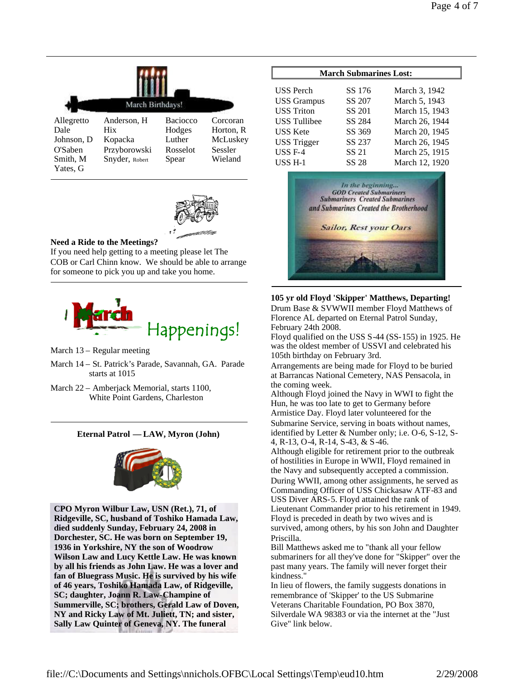|                                                                     | March Birthdays!                                                |                                                   |                                                         |  |  |
|---------------------------------------------------------------------|-----------------------------------------------------------------|---------------------------------------------------|---------------------------------------------------------|--|--|
| Allegretto<br>Dale<br>Johnson, D<br>O'Saben<br>Smith, M<br>Yates, G | Anderson, H<br>Hix<br>Kopacka<br>Przyborowski<br>Snyder, Robert | Baciocco<br>Hodges<br>Luther<br>Rosselot<br>Spear | Corcoran<br>Horton, R<br>McLuskey<br>Sessler<br>Wieland |  |  |



# **Need a Ride to the Meetings?**

If you need help getting to a meeting please let The COB or Carl Chinn know. We should be able to arrange for someone to pick you up and take you home.



## March 13 – Regular meeting

- March 14 St. Patrick's Parade, Savannah, GA. Parade starts at 1015
- March 22 Amberjack Memorial, starts 1100, White Point Gardens, Charleston

# **Eternal Patrol — LAW, Myron (John)**



**CPO Myron Wilbur Law, USN (Ret.), 71, of Ridgeville, SC, husband of Toshiko Hamada Law, died suddenly Sunday, February 24, 2008 in Dorchester, SC. He was born on September 19, 1936 in Yorkshire, NY the son of Woodrow Wilson Law and Lucy Kettle Law. He was known by all his friends as John Law. He was a lover and fan of Bluegrass Music. He is survived by his wife of 46 years, Toshiko Hamada Law, of Ridgeville, SC; daughter, Joann R. Law-Champine of Summerville, SC; brothers, Gerald Law of Doven, NY and Ricky Law of Mt. Juliett, TN; and sister, Sally Law Quinter of Geneva, NY. The funeral**

| <b>March Submarines Lost:</b> |        |                |  |  |
|-------------------------------|--------|----------------|--|--|
| <b>USS</b> Perch              | SS 176 |                |  |  |
|                               |        | March 3, 1942  |  |  |
| <b>USS Grampus</b>            | SS 207 | March 5, 1943  |  |  |
| <b>USS</b> Triton             | SS 201 | March 15, 1943 |  |  |
| <b>USS Tullibee</b>           | SS 284 | March 26, 1944 |  |  |
| <b>USS</b> Kete               | SS 369 | March 20, 1945 |  |  |
| <b>USS Trigger</b>            | SS 237 | March 26, 1945 |  |  |
| <b>USS F-4</b>                | SS 21  | March 25, 1915 |  |  |
| USS <sub>H-1</sub>            | SS 28  | March 12, 1920 |  |  |



**105 yr old Floyd 'Skipper' Matthews, Departing!** Drum Base & SVWWII member Floyd Matthews of Florence AL departed on Eternal Patrol Sunday, February 24th 2008.

Floyd qualified on the USS S-44 (SS-155) in 1925. He was the oldest member of USSVI and celebrated his 105th birthday on February 3rd.

Arrangements are being made for Floyd to be buried at Barrancas National Cemetery, NAS Pensacola, in the coming week.

Although Floyd joined the Navy in WWI to fight the Hun, he was too late to get to Germany before Armistice Day. Floyd later volunteered for the Submarine Service, serving in boats without names, identified by Letter & Number only; i.e. O-6, S-12, S-4, R-13, O-4, R-14, S-43, & S-46.

Although eligible for retirement prior to the outbreak of hostilities in Europe in WWII, Floyd remained in the Navy and subsequently accepted a commission. During WWII, among other assignments, he served as Commanding Officer of USS Chickasaw ATF-83 and USS Diver ARS-5. Floyd attained the rank of Lieutenant Commander prior to his retirement in 1949. Floyd is preceded in death by two wives and is survived, among others, by his son John and Daughter Priscilla.

Bill Matthews asked me to "thank all your fellow submariners for all they've done for "Skipper" over the past many years. The family will never forget their kindness."

In lieu of flowers, the family suggests donations in remembrance of 'Skipper' to the US Submarine Veterans Charitable Foundation, PO Box 3870, Silverdale WA 98383 or via the internet at the "Just Give" link below.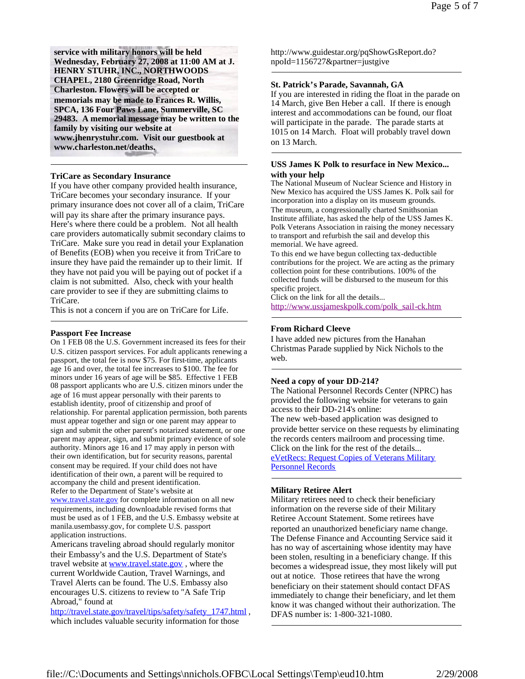**service with military honors will be held Wednesday, February 27, 2008 at 11:00 AM at J. HENRY STUHR, INC., NORTHWOODS CHAPEL, 2180 Greenridge Road, North Charleston. Flowers will be accepted or memorials may be made to Frances R. Willis, SPCA, 136 Four Paws Lane, Summerville, SC 29483. A memorial message may be written to the family by visiting our website at www.jhenrystuhr.com. Visit our guestbook at www.charleston.net/deaths.**

### **TriCare as Secondary Insurance**

If you have other company provided health insurance, TriCare becomes your secondary insurance. If your primary insurance does not cover all of a claim, TriCare will pay its share after the primary insurance pays. Here's where there could be a problem. Not all health care providers automatically submit secondary claims to TriCare. Make sure you read in detail your Explanation of Benefits (EOB) when you receive it from TriCare to insure they have paid the remainder up to their limit. If they have not paid you will be paying out of pocket if a claim is not submitted. Also, check with your health care provider to see if they are submitting claims to TriCare.

This is not a concern if you are on TriCare for Life.

#### **Passport Fee Increase**

On 1 FEB 08 the U.S. Government increased its fees for their U.S. citizen passport services. For adult applicants renewing a passport, the total fee is now \$75. For first-time, applicants age 16 and over, the total fee increases to \$100. The fee for minors under 16 years of age will be \$85. Effective 1 FEB 08 passport applicants who are U.S. citizen minors under the age of 16 must appear personally with their parents to establish identity, proof of citizenship and proof of relationship. For parental application permission, both parents must appear together and sign or one parent may appear to sign and submit the other parent's notarized statement, or one parent may appear, sign, and submit primary evidence of sole authority. Minors age 16 and 17 may apply in person with their own identification, but for security reasons, parental consent may be required. If your child does not have identification of their own, a parent will be required to accompany the child and present identification. Refer to the Department of State's website at www.travel.state.gov for complete information on all new requirements, including downloadable revised forms that must be used as of 1 FEB, and the U.S. Embassy website at manila.usembassy.gov, for complete U.S. passport application instructions.

Americans traveling abroad should regularly monitor their Embassy's and the U.S. Department of State's travel website at www.travel.state.gov, where the current Worldwide Caution, Travel Warnings, and Travel Alerts can be found. The U.S. Embassy also encourages U.S. citizens to review to "A Safe Trip Abroad," found at

http://travel.state.gov/travel/tips/safety/safety\_1747.html, which includes valuable security information for those

http://www.guidestar.org/pqShowGsReport.do? npoId=1156727&partner=justgive

### **St. Patrick's Parade, Savannah, GA**

If you are interested in riding the float in the parade on 14 March, give Ben Heber a call. If there is enough interest and accommodations can be found, our float will participate in the parade. The parade starts at 1015 on 14 March. Float will probably travel down on 13 March.

## **USS James K Polk to resurface in New Mexico... with your help**

The National Museum of Nuclear Science and History in New Mexico has acquired the USS James K. Polk sail for incorporation into a display on its museum grounds. The museum, a congressionally charted Smithsonian Institute affiliate, has asked the help of the USS James K. Polk Veterans Association in raising the money necessary to transport and refurbish the sail and develop this memorial. We have agreed.

To this end we have begun collecting tax-deductible contributions for the project. We are acting as the primary collection point for these contributions. 100% of the collected funds will be disbursed to the museum for this specific project.

Click on the link for all the details... http://www.ussjameskpolk.com/polk\_sail-ck.htm

### **From Richard Cleeve**

I have added new pictures from the Hanahan Christmas Parade supplied by Nick Nichols to the web.

#### **Need a copy of your DD-214?**

The National Personnel Records Center (NPRC) has provided the following website for veterans to gain access to their DD-214's online: The new web-based application was designed to provide better service on these requests by eliminating the records centers mailroom and processing time. Click on the link for the rest of the details... eVetRecs: Request Copies of Veterans Military Personnel Records

#### **Military Retiree Alert**

Military retirees need to check their beneficiary information on the reverse side of their Military Retiree Account Statement. Some retirees have reported an unauthorized beneficiary name change. The Defense Finance and Accounting Service said it has no way of ascertaining whose identity may have been stolen, resulting in a beneficiary change. If this becomes a widespread issue, they most likely will put out at notice. Those retirees that have the wrong beneficiary on their statement should contact DFAS immediately to change their beneficiary, and let them know it was changed without their authorization. The DFAS number is: 1-800-321-1080.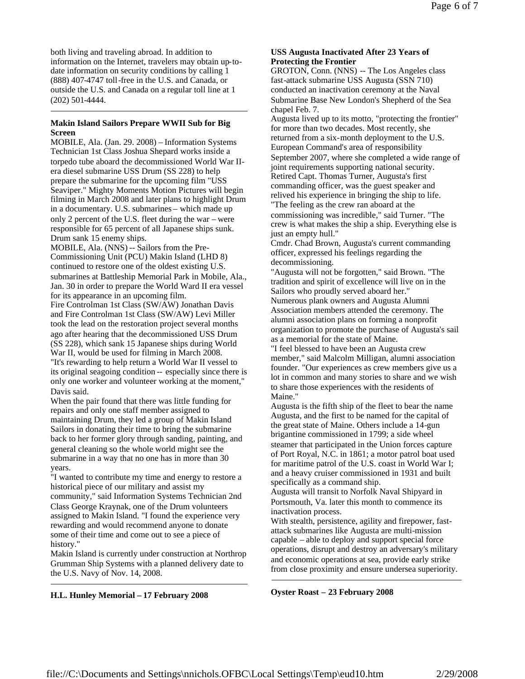both living and traveling abroad. In addition to information on the Internet, travelers may obtain up-todate information on security conditions by calling 1 (888) 407-4747 toll-free in the U.S. and Canada, or outside the U.S. and Canada on a regular toll line at 1 (202) 501-4444.

# **Makin Island Sailors Prepare WWII Sub for Big Screen**

MOBILE, Ala. (Jan. 29. 2008) – Information Systems Technician 1st Class Joshua Shepard works inside a torpedo tube aboard the decommissioned World War IIera diesel submarine USS Drum (SS 228) to help prepare the submarine for the upcoming film "USS Seaviper." Mighty Moments Motion Pictures will begin filming in March 2008 and later plans to highlight Drum in a documentary. U.S. submarines – which made up only 2 percent of the U.S. fleet during the war – were responsible for 65 percent of all Japanese ships sunk. Drum sank 15 enemy ships.

MOBILE, Ala. (NNS) -- Sailors from the Pre-Commissioning Unit (PCU) Makin Island (LHD 8) continued to restore one of the oldest existing U.S. submarines at Battleship Memorial Park in Mobile, Ala., Jan. 30 in order to prepare the World Ward II era vessel for its appearance in an upcoming film.

Fire Controlman 1st Class (SW/AW) Jonathan Davis and Fire Controlman 1st Class (SW/AW) Levi Miller took the lead on the restoration project several months ago after hearing that the decommissioned USS Drum (SS 228), which sank 15 Japanese ships during World War II, would be used for filming in March 2008. "It's rewarding to help return a World War II vessel to its original seagoing condition -- especially since there is only one worker and volunteer working at the moment," Davis said.

When the pair found that there was little funding for repairs and only one staff member assigned to maintaining Drum, they led a group of Makin Island Sailors in donating their time to bring the submarine back to her former glory through sanding, painting, and general cleaning so the whole world might see the submarine in a way that no one has in more than 30 years.

"I wanted to contribute my time and energy to restore a historical piece of our military and assist my community," said Information Systems Technician 2nd Class George Kraynak, one of the Drum volunteers assigned to Makin Island. "I found the experience very rewarding and would recommend anyone to donate some of their time and come out to see a piece of history."

Makin Island is currently under construction at Northrop Grumman Ship Systems with a planned delivery date to the U.S. Navy of Nov. 14, 2008.

# **USS Augusta Inactivated After 23 Years of Protecting the Frontier**

GROTON, Conn. (NNS) -- The Los Angeles class fast-attack submarine USS Augusta (SSN 710) conducted an inactivation ceremony at the Naval Submarine Base New London's Shepherd of the Sea chapel Feb. 7.

Augusta lived up to its motto, "protecting the frontier" for more than two decades. Most recently, she returned from a six-month deployment to the U.S. European Command's area of responsibility September 2007, where she completed a wide range of joint requirements supporting national security. Retired Capt. Thomas Turner, Augusta's first commanding officer, was the guest speaker and relived his experience in bringing the ship to life. "The feeling as the crew ran aboard at the commissioning was incredible," said Turner. "The crew is what makes the ship a ship. Everything else is just an empty hull."

Cmdr. Chad Brown, Augusta's current commanding officer, expressed his feelings regarding the decommissioning.

"Augusta will not be forgotten," said Brown. "The tradition and spirit of excellence will live on in the Sailors who proudly served aboard her."

Numerous plank owners and Augusta Alumni Association members attended the ceremony. The alumni association plans on forming a nonprofit organization to promote the purchase of Augusta's sail as a memorial for the state of Maine.

"I feel blessed to have been an Augusta crew member," said Malcolm Milligan, alumni association founder. "Our experiences as crew members give us a lot in common and many stories to share and we wish to share those experiences with the residents of Maine."

Augusta is the fifth ship of the fleet to bear the name Augusta, and the first to be named for the capital of the great state of Maine. Others include a 14-gun brigantine commissioned in 1799; a side wheel steamer that participated in the Union forces capture of Port Royal, N.C. in 1861; a motor patrol boat used for maritime patrol of the U.S. coast in World War I; and a heavy cruiser commissioned in 1931 and built specifically as a command ship.

Augusta will transit to Norfolk Naval Shipyard in Portsmouth, Va. later this month to commence its inactivation process.

With stealth, persistence, agility and firepower, fastattack submarines like Augusta are multi-mission capable – able to deploy and support special force operations, disrupt and destroy an adversary's military and economic operations at sea, provide early strike from close proximity and ensure undersea superiority.

**Oyster Roast – 23 February 2008**

**H.L. Hunley Memorial – 17 February 2008**